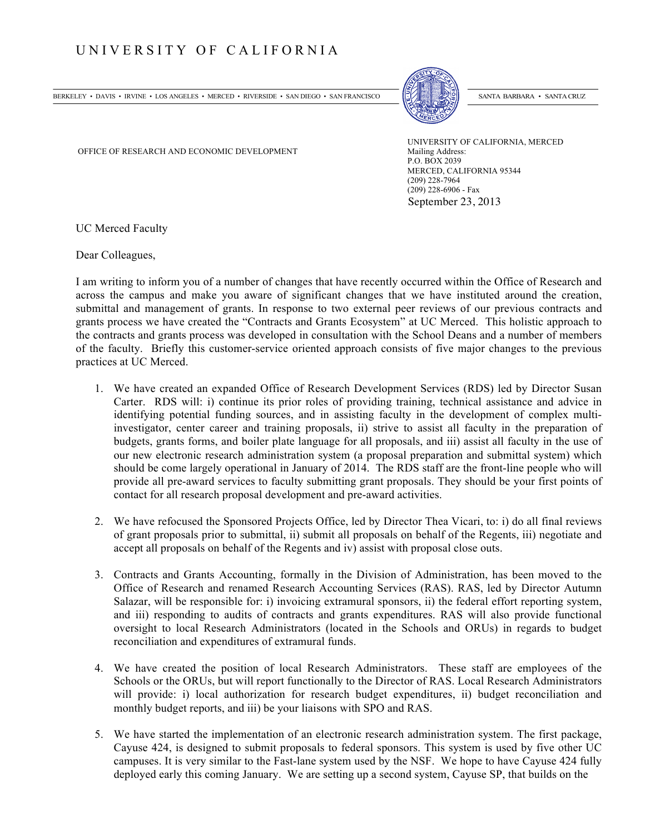## UNIVERSITY OF CALIFORNIA

BERKELEY • DAVIS • IRVINE • LOS ANGELES • MERCED • RIVERSIDE • SAN DIEGO • SAN FRANCISCO [[CI/] | SANTA BARBARA • SANTA CRUZ

OFFICE OF RESEARCH AND ECONOMIC DEVELOPMENT Mailing Address:

UNIVERSITY OF CALIFORNIA, MERCED P.O. BOX 2039 MERCED, CALIFORNIA 95344 (209) 228-7964 (209) 228-6906 - Fax September 23, 2013

UC Merced Faculty

Dear Colleagues,

I am writing to inform you of a number of changes that have recently occurred within the Office of Research and across the campus and make you aware of significant changes that we have instituted around the creation, submittal and management of grants. In response to two external peer reviews of our previous contracts and grants process we have created the "Contracts and Grants Ecosystem" at UC Merced. This holistic approach to the contracts and grants process was developed in consultation with the School Deans and a number of members of the faculty. Briefly this customer-service oriented approach consists of five major changes to the previous practices at UC Merced.

- 1. We have created an expanded Office of Research Development Services (RDS) led by Director Susan Carter. RDS will: i) continue its prior roles of providing training, technical assistance and advice in identifying potential funding sources, and in assisting faculty in the development of complex multiinvestigator, center career and training proposals, ii) strive to assist all faculty in the preparation of budgets, grants forms, and boiler plate language for all proposals, and iii) assist all faculty in the use of our new electronic research administration system (a proposal preparation and submittal system) which should be come largely operational in January of 2014. The RDS staff are the front-line people who will provide all pre-award services to faculty submitting grant proposals. They should be your first points of contact for all research proposal development and pre-award activities.
- 2. We have refocused the Sponsored Projects Office, led by Director Thea Vicari, to: i) do all final reviews of grant proposals prior to submittal, ii) submit all proposals on behalf of the Regents, iii) negotiate and accept all proposals on behalf of the Regents and iv) assist with proposal close outs.
- 3. Contracts and Grants Accounting, formally in the Division of Administration, has been moved to the Office of Research and renamed Research Accounting Services (RAS). RAS, led by Director Autumn Salazar, will be responsible for: i) invoicing extramural sponsors, ii) the federal effort reporting system, and iii) responding to audits of contracts and grants expenditures. RAS will also provide functional oversight to local Research Administrators (located in the Schools and ORUs) in regards to budget reconciliation and expenditures of extramural funds.
- 4. We have created the position of local Research Administrators. These staff are employees of the Schools or the ORUs, but will report functionally to the Director of RAS. Local Research Administrators will provide: i) local authorization for research budget expenditures, ii) budget reconciliation and monthly budget reports, and iii) be your liaisons with SPO and RAS.
- 5. We have started the implementation of an electronic research administration system. The first package, Cayuse 424, is designed to submit proposals to federal sponsors. This system is used by five other UC campuses. It is very similar to the Fast-lane system used by the NSF. We hope to have Cayuse 424 fully deployed early this coming January. We are setting up a second system, Cayuse SP, that builds on the